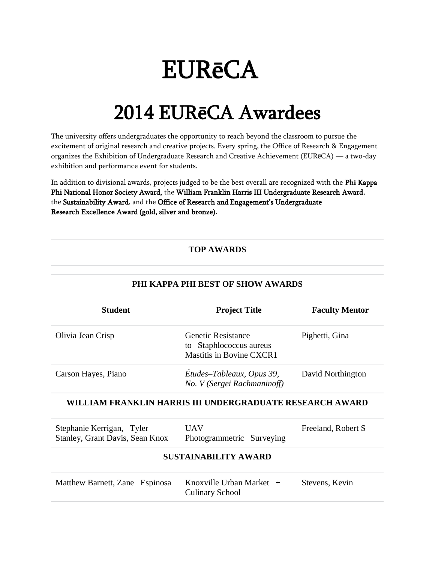# EURēCA

# 2014 EURēCA Awardees

The university offers undergraduates the opportunity to reach beyond the classroom to pursue the excitement of original research and creative projects. Every spring, the Office of Research & Engagement organizes the Exhibition of Undergraduate Research and Creative Achievement (EURēCA) — a two-day exhibition and performance event for students.

In addition to divisional awards, projects judged to be the best overall are recognized with the Phi Kappa Phi National Honor Society Award, the William Franklin Harris III Undergraduate Research Award, the Sustainability Award, and the Office of Research and Engagement's Undergraduate Research Excellence Award (gold, silver and bronze).

#### **TOP AWARDS**

| <b>Student</b>                                                      | <b>Project Title</b>                                                             | <b>Faculty Mentor</b> |
|---------------------------------------------------------------------|----------------------------------------------------------------------------------|-----------------------|
| Olivia Jean Crisp                                                   | <b>Genetic Resistance</b><br>to Staphlococcus aureus<br>Mastitis in Bovine CXCR1 | Pighetti, Gina        |
| Carson Hayes, Piano                                                 | Études–Tableaux, Opus 39,<br>No. V (Sergei Rachmaninoff)                         | David Northington     |
|                                                                     | WILLIAM FRANKLIN HARRIS III UNDERGRADUATE RESEARCH AWARD                         |                       |
| Stephanie Kerrigan, Tyler<br><b>Stanley, Grant Davis, Sean Knox</b> | <b>UAV</b><br>Photogrammetric Surveying                                          | Freeland, Robert S    |
| <b>SUSTAINABILITY AWARD</b>                                         |                                                                                  |                       |
| Matthew Barnett, Zane Espinosa                                      | Knoxville Urban Market $+$<br>Culinary School                                    | Stevens, Kevin        |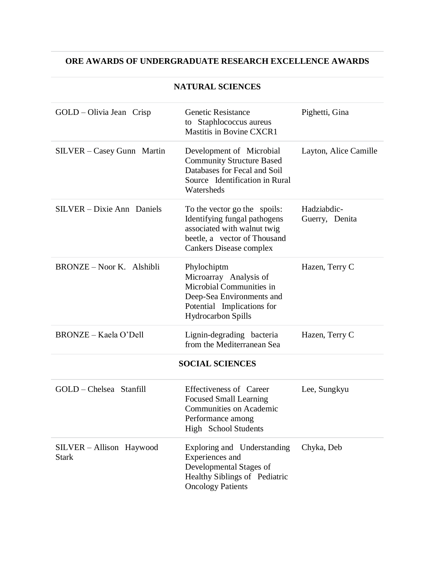#### **ORE AWARDS OF UNDERGRADUATE RESEARCH EXCELLENCE AWARDS**

| GOLD – Olivia Jean Crisp                 | <b>Genetic Resistance</b><br>to Staphlococcus aureus                                                                                                          | Pighetti, Gina                |
|------------------------------------------|---------------------------------------------------------------------------------------------------------------------------------------------------------------|-------------------------------|
|                                          | <b>Mastitis in Bovine CXCR1</b>                                                                                                                               |                               |
| SILVER - Casey Gunn Martin               | Development of Microbial<br><b>Community Structure Based</b><br>Databases for Fecal and Soil<br>Source Identification in Rural<br>Watersheds                  | Layton, Alice Camille         |
| SILVER – Dixie Ann Daniels               | To the vector go the spoils:<br>Identifying fungal pathogens<br>associated with walnut twig<br>beetle, a vector of Thousand<br><b>Cankers Disease complex</b> | Hadziabdic-<br>Guerry, Denita |
| <b>BRONZE-Noor K. Alshibli</b>           | Phylochiptm<br>Microarray Analysis of<br>Microbial Communities in<br>Deep-Sea Environments and<br>Potential Implications for<br><b>Hydrocarbon Spills</b>     | Hazen, Terry C                |
| BRONZE - Kaela O'Dell                    | Lignin-degrading bacteria<br>from the Mediterranean Sea                                                                                                       | Hazen, Terry C                |
|                                          | <b>SOCIAL SCIENCES</b>                                                                                                                                        |                               |
| GOLD-Chelsea Stanfill                    | Effectiveness of Career<br><b>Focused Small Learning</b><br><b>Communities on Academic</b><br>Performance among<br>High School Students                       | Lee, Sungkyu                  |
| SILVER - Allison Haywood<br><b>Stark</b> | Exploring and Understanding<br>Experiences and<br>Developmental Stages of<br>Healthy Siblings of Pediatric<br><b>Oncology Patients</b>                        | Chyka, Deb                    |

#### **NATURAL SCIENCES**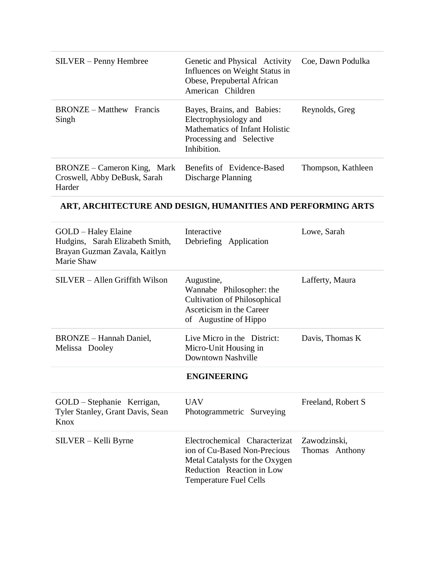| SILVER – Penny Hembree                                                | Genetic and Physical Activity<br>Influences on Weight Status in<br>Obese, Prepubertal African<br>American Children               | Coe, Dawn Podulka  |
|-----------------------------------------------------------------------|----------------------------------------------------------------------------------------------------------------------------------|--------------------|
| <b>BRONZE</b> – Matthew Francis<br>Singh                              | Bayes, Brains, and Babies:<br>Electrophysiology and<br>Mathematics of Infant Holistic<br>Processing and Selective<br>Inhibition. | Reynolds, Greg     |
| BRONZE – Cameron King, Mark<br>Croswell, Abby DeBusk, Sarah<br>Harder | Benefits of Evidence-Based<br>Discharge Planning                                                                                 | Thompson, Kathleen |

### **ART, ARCHITECTURE AND DESIGN, HUMANITIES AND PERFORMING ARTS**

| GOLD – Haley Elaine<br>Hudgins, Sarah Elizabeth Smith,<br>Brayan Guzman Zavala, Kaitlyn<br>Marie Shaw | Interactive<br>Debriefing Application                                                                                                                         | Lowe, Sarah                    |
|-------------------------------------------------------------------------------------------------------|---------------------------------------------------------------------------------------------------------------------------------------------------------------|--------------------------------|
| SILVER - Allen Griffith Wilson                                                                        | Augustine,<br>Wannabe Philosopher: the<br><b>Cultivation of Philosophical</b><br>Asceticism in the Career<br>of Augustine of Hippo                            | Lafferty, Maura                |
| <b>BRONZE</b> – Hannah Daniel,<br>Melissa Dooley                                                      | Live Micro in the District:<br>Micro-Unit Housing in<br>Downtown Nashville                                                                                    | Davis, Thomas K                |
|                                                                                                       | <b>ENGINEERING</b>                                                                                                                                            |                                |
| GOLD – Stephanie Kerrigan,<br>Tyler Stanley, Grant Davis, Sean<br>Knox                                | <b>UAV</b><br>Photogrammetric Surveying                                                                                                                       | Freeland, Robert S             |
| SILVER – Kelli Byrne                                                                                  | Electrochemical Characterizat<br>ion of Cu-Based Non-Precious<br>Metal Catalysts for the Oxygen<br>Reduction Reaction in Low<br><b>Temperature Fuel Cells</b> | Zawodzinski,<br>Thomas Anthony |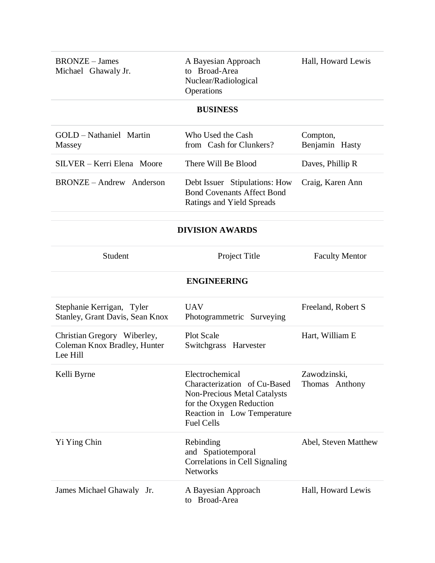| <b>BRONZE</b> – James<br>Michael Ghawaly Jr. | A Bayesian Approach<br>to Broad-Area<br>Nuclear/Radiological<br><b>Operations</b> | Hall, Howard Lewis |
|----------------------------------------------|-----------------------------------------------------------------------------------|--------------------|
|                                              |                                                                                   |                    |

#### **BUSINESS**

| GOLD – Nathaniel Martin<br>Massey | Who Used the Cash<br>from Cash for Clunkers?                                                    | Compton,<br>Benjamin Hasty |
|-----------------------------------|-------------------------------------------------------------------------------------------------|----------------------------|
| SILVER – Kerri Elena Moore        | There Will Be Blood                                                                             | Daves, Phillip R           |
| BRONZE – Andrew Anderson          | Debt Issuer Stipulations: How<br><b>Bond Covenants Affect Bond</b><br>Ratings and Yield Spreads | Craig, Karen Ann           |

**DIVISION AWARDS**

| Student                                                                 | Project Title                                                                                                                                                          | <b>Faculty Mentor</b>          |
|-------------------------------------------------------------------------|------------------------------------------------------------------------------------------------------------------------------------------------------------------------|--------------------------------|
|                                                                         | <b>ENGINEERING</b>                                                                                                                                                     |                                |
| Stephanie Kerrigan, Tyler<br>Stanley, Grant Davis, Sean Knox            | <b>UAV</b><br>Photogrammetric Surveying                                                                                                                                | Freeland, Robert S             |
| Christian Gregory Wiberley,<br>Coleman Knox Bradley, Hunter<br>Lee Hill | <b>Plot Scale</b><br>Switchgrass Harvester                                                                                                                             | Hart, William E                |
| Kelli Byrne                                                             | Electrochemical<br>Characterization of Cu-Based<br><b>Non-Precious Metal Catalysts</b><br>for the Oxygen Reduction<br>Reaction in Low Temperature<br><b>Fuel Cells</b> | Zawodzinski,<br>Thomas Anthony |
| Yi Ying Chin                                                            | Rebinding<br>and Spatiotemporal<br>Correlations in Cell Signaling<br><b>Networks</b>                                                                                   | Abel, Steven Matthew           |
| James Michael Ghawaly Jr.                                               | A Bayesian Approach<br>to Broad-Area                                                                                                                                   | Hall, Howard Lewis             |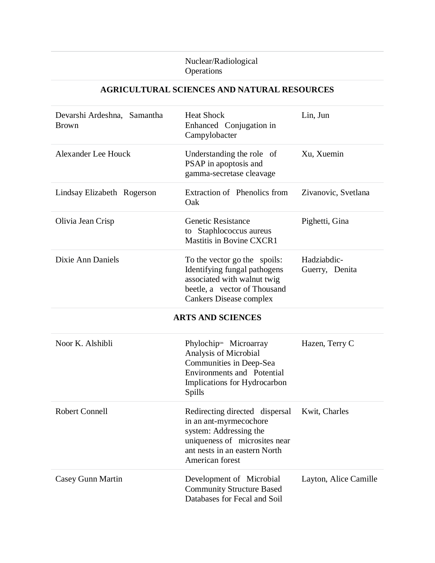#### Nuclear/Radiological **Operations**

## **AGRICULTURAL SCIENCES AND NATURAL RESOURCES**

| Devarshi Ardeshna, Samantha<br><b>Brown</b> | <b>Heat Shock</b><br>Enhanced Conjugation in<br>Campylobacter                                                                                                           | Lin, Jun                      |
|---------------------------------------------|-------------------------------------------------------------------------------------------------------------------------------------------------------------------------|-------------------------------|
| <b>Alexander Lee Houck</b>                  | Understanding the role of<br>PSAP in apoptosis and<br>gamma-secretase cleavage                                                                                          | Xu, Xuemin                    |
| Lindsay Elizabeth Rogerson                  | Extraction of Phenolics from<br>Oak                                                                                                                                     | Zivanovic, Svetlana           |
| Olivia Jean Crisp                           | <b>Genetic Resistance</b><br>to Staphlococcus aureus<br><b>Mastitis in Bovine CXCR1</b>                                                                                 | Pighetti, Gina                |
| Dixie Ann Daniels                           | To the vector go the spoils:<br>Identifying fungal pathogens<br>associated with walnut twig<br>beetle, a vector of Thousand<br><b>Cankers Disease complex</b>           | Hadziabdic-<br>Guerry, Denita |
|                                             | <b>ARTS AND SCIENCES</b>                                                                                                                                                |                               |
| Noor K. Alshibli                            | Phylochip <sup>th</sup> Microarray<br>Analysis of Microbial<br>Communities in Deep-Sea<br><b>Environments and Potential</b><br>Implications for Hydrocarbon<br>Spills   | Hazen, Terry C                |
| <b>Robert Connell</b>                       | Redirecting directed dispersal<br>in an ant-myrmecochore<br>system: Addressing the<br>uniqueness of microsites near<br>ant nests in an eastern North<br>American forest | Kwit, Charles                 |
| Casey Gunn Martin                           | Development of Microbial                                                                                                                                                | Layton, Alice Camille         |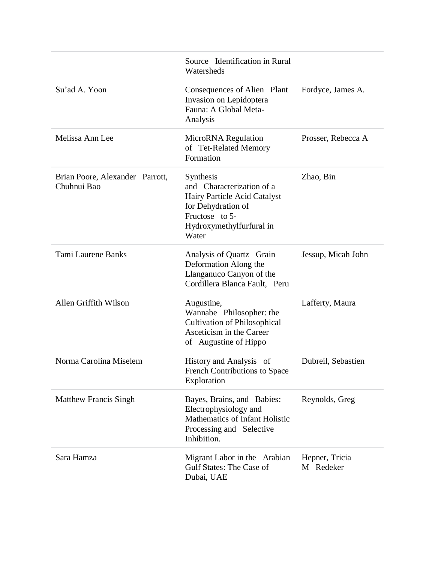|                                                | Source Identification in Rural<br>Watersheds                                                                                                        |                             |
|------------------------------------------------|-----------------------------------------------------------------------------------------------------------------------------------------------------|-----------------------------|
| Su'ad A. Yoon                                  | Consequences of Alien Plant<br>Invasion on Lepidoptera<br>Fauna: A Global Meta-<br>Analysis                                                         | Fordyce, James A.           |
| Melissa Ann Lee                                | MicroRNA Regulation<br>of Tet-Related Memory<br>Formation                                                                                           | Prosser, Rebecca A          |
| Brian Poore, Alexander Parrott,<br>Chuhnui Bao | Synthesis<br>and Characterization of a<br>Hairy Particle Acid Catalyst<br>for Dehydration of<br>Fructose to 5-<br>Hydroxymethylfurfural in<br>Water | Zhao, Bin                   |
| <b>Tami Laurene Banks</b>                      | Analysis of Quartz Grain<br>Deformation Along the<br>Llanganuco Canyon of the<br>Cordillera Blanca Fault, Peru                                      | Jessup, Micah John          |
| Allen Griffith Wilson                          | Augustine,<br>Wannabe Philosopher: the<br><b>Cultivation of Philosophical</b><br>Asceticism in the Career<br>of Augustine of Hippo                  | Lafferty, Maura             |
| Norma Carolina Miselem                         | History and Analysis of<br><b>French Contributions to Space</b><br>Exploration                                                                      | Dubreil, Sebastien          |
| <b>Matthew Francis Singh</b>                   | Bayes, Brains, and Babies:<br>Electrophysiology and<br>Mathematics of Infant Holistic<br>Processing and Selective<br>Inhibition.                    | Reynolds, Greg              |
| Sara Hamza                                     | Migrant Labor in the Arabian<br><b>Gulf States: The Case of</b><br>Dubai, UAE                                                                       | Hepner, Tricia<br>M Redeker |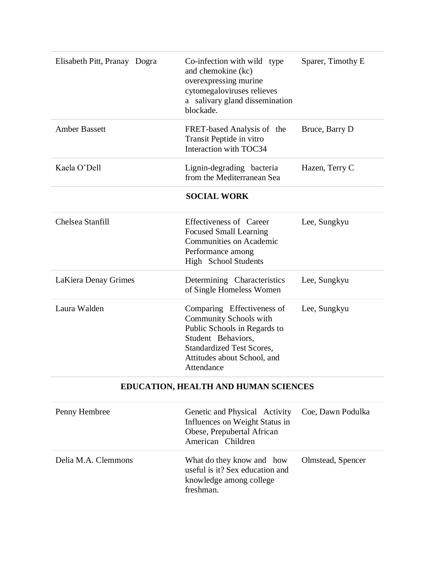| Elisabeth Pitt, Pranay Dogra                | Co-infection with wild type<br>and chemokine (kc)<br>overexpressing murine<br>cytomegaloviruses relieves<br>a salivary gland dissemination<br>blockade.                                            | Sparer, Timothy E |
|---------------------------------------------|----------------------------------------------------------------------------------------------------------------------------------------------------------------------------------------------------|-------------------|
| <b>Amber Bassett</b>                        | FRET-based Analysis of the<br>Transit Peptide in vitro<br>Interaction with TOC34                                                                                                                   | Bruce, Barry D    |
| Kaela O'Dell                                | Lignin-degrading bacteria<br>from the Mediterranean Sea                                                                                                                                            | Hazen, Terry C    |
|                                             | <b>SOCIAL WORK</b>                                                                                                                                                                                 |                   |
| Chelsea Stanfill                            | Effectiveness of Career<br><b>Focused Small Learning</b><br><b>Communities on Academic</b><br>Performance among<br>High School Students                                                            | Lee, Sungkyu      |
| LaKiera Denay Grimes                        | Determining Characteristics<br>of Single Homeless Women                                                                                                                                            | Lee, Sungkyu      |
| Laura Walden                                | Comparing Effectiveness of<br><b>Community Schools with</b><br>Public Schools in Regards to<br>Student Behaviors,<br><b>Standardized Test Scores,</b><br>Attitudes about School, and<br>Attendance | Lee, Sungkyu      |
| <b>EDUCATION, HEALTH AND HUMAN SCIENCES</b> |                                                                                                                                                                                                    |                   |
| Penny Hembree                               | Genetic and Physical Activity<br>Influences on Weight Status in<br>Obese, Prepubertal African                                                                                                      | Coe, Dawn Podulka |

|                     | American Children                                                                                    |                   |
|---------------------|------------------------------------------------------------------------------------------------------|-------------------|
| Delia M.A. Clemmons | What do they know and how<br>useful is it? Sex education and<br>knowledge among college<br>freshman. | Olmstead, Spencer |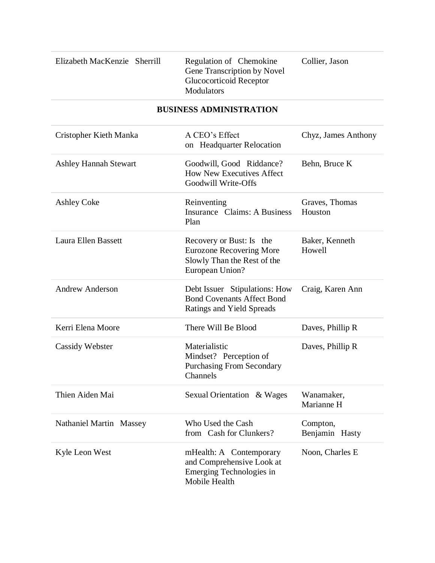| Elizabeth MacKenzie Sherrill   | Regulation of Chemokine<br>Gene Transcription by Novel<br><b>Glucocorticoid Receptor</b><br>Modulators        | Collier, Jason             |  |
|--------------------------------|---------------------------------------------------------------------------------------------------------------|----------------------------|--|
| <b>BUSINESS ADMINISTRATION</b> |                                                                                                               |                            |  |
| Cristopher Kieth Manka         | A CEO's Effect<br>on Headquarter Relocation                                                                   | Chyz, James Anthony        |  |
| <b>Ashley Hannah Stewart</b>   | Goodwill, Good Riddance?<br><b>How New Executives Affect</b><br>Goodwill Write-Offs                           | Behn, Bruce K              |  |
| <b>Ashley Coke</b>             | Reinventing<br>Insurance Claims: A Business<br>Plan                                                           | Graves, Thomas<br>Houston  |  |
| Laura Ellen Bassett            | Recovery or Bust: Is the<br><b>Eurozone Recovering More</b><br>Slowly Than the Rest of the<br>European Union? | Baker, Kenneth<br>Howell   |  |
| <b>Andrew Anderson</b>         | Debt Issuer Stipulations: How<br><b>Bond Covenants Affect Bond</b><br>Ratings and Yield Spreads               | Craig, Karen Ann           |  |
| Kerri Elena Moore              | There Will Be Blood                                                                                           | Daves, Phillip R           |  |
| <b>Cassidy Webster</b>         | Materialistic<br>Mindset? Perception of<br><b>Purchasing From Secondary</b><br>Channels                       | Daves, Phillip R           |  |
| Thien Aiden Mai                | Sexual Orientation & Wages                                                                                    | Wanamaker,<br>Marianne H   |  |
| <b>Nathaniel Martin Massey</b> | Who Used the Cash<br>from Cash for Clunkers?                                                                  | Compton,<br>Benjamin Hasty |  |
| Kyle Leon West                 | mHealth: A Contemporary<br>and Comprehensive Look at<br>Emerging Technologies in<br>Mobile Health             | Noon, Charles E            |  |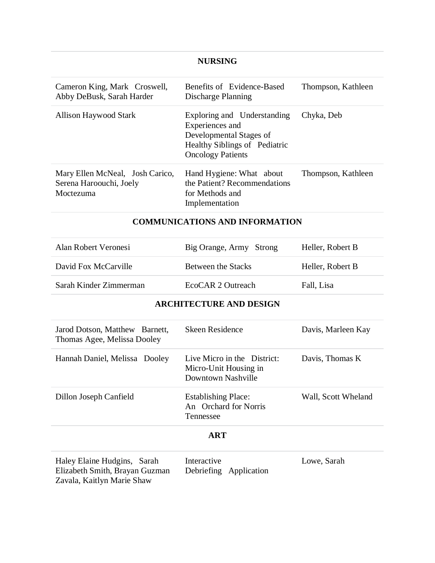#### **NURSING**

| Cameron King, Mark Croswell,<br>Abby DeBusk, Sarah Harder               | Benefits of Evidence-Based<br>Discharge Planning                                                                                       | Thompson, Kathleen |
|-------------------------------------------------------------------------|----------------------------------------------------------------------------------------------------------------------------------------|--------------------|
| Allison Haywood Stark                                                   | Exploring and Understanding<br>Experiences and<br>Developmental Stages of<br>Healthy Siblings of Pediatric<br><b>Oncology Patients</b> | Chyka, Deb         |
| Mary Ellen McNeal, Josh Carico,<br>Serena Haroouchi, Joely<br>Moctezuma | Hand Hygiene: What about<br>the Patient? Recommendations<br>for Methods and<br>Implementation                                          | Thompson, Kathleen |

#### **COMMUNICATIONS AND INFORMATION**

| Alan Robert Veronesi   | Big Orange, Army Strong | Heller, Robert B |
|------------------------|-------------------------|------------------|
| David Fox McCarville   | Between the Stacks      | Heller, Robert B |
| Sarah Kinder Zimmerman | EcoCAR 2 Outreach       | Fall, Lisa       |

#### **ARCHITECTURE AND DESIGN**

| Jarod Dotson, Matthew Barnett,<br>Thomas Agee, Melissa Dooley                               | <b>Skeen Residence</b>                                                     | Davis, Marleen Kay  |  |  |
|---------------------------------------------------------------------------------------------|----------------------------------------------------------------------------|---------------------|--|--|
| Hannah Daniel, Melissa Dooley                                                               | Live Micro in the District:<br>Micro-Unit Housing in<br>Downtown Nashville | Davis, Thomas K     |  |  |
| Dillon Joseph Canfield                                                                      | <b>Establishing Place:</b><br>An Orchard for Norris<br>Tennessee           | Wall, Scott Wheland |  |  |
| <b>ART</b>                                                                                  |                                                                            |                     |  |  |
| Haley Elaine Hudgins, Sarah<br>Elizabeth Smith, Brayan Guzman<br>Zavala, Kaitlyn Marie Shaw | Interactive<br>Debriefing Application                                      | Lowe, Sarah         |  |  |